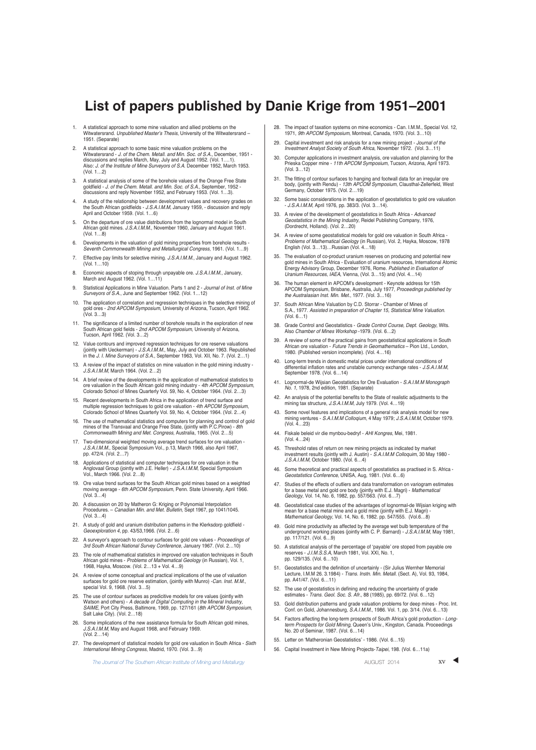## **List of papers published by Danie Krige from 1951–2001**

- 1. A statistical approach to some mine valuation and allied problems on the Witwatersrand. Unpublished Master's Thesis, University of the Witwatersrand -1951. (Separate)
- 2. A statistical approach to some basic mine valuation problems on the Witwatersrand - J. *of the Chem. Metall. and Min. Soc. of S.A*., December, 1951 -<br>discussions and replies March, May, July and August 1952. (Vol. 1....1).<br>Also: J*. of the Institute of Mine Surveyors of S.A*. December 1952 (Vol. 1…2)
- 3. A statistical analysis of some of the borehole values of the Orange Free State goldfield - J. of the Chem. Metall. and Min. Soc. of S.A., September, 1952 - discussions and reply November 1952, and February 1953. (Vol. 1…3).
- 4. A study of the relationship between development values and recovery grades on the South African goldfields J.S.A.I.M.M, January 1959, discussion and reply April and October 1959. (Vol. 1…6)
- 5. On the departure of ore value distributions from the lognormal model in South African gold mines. J.S.A.I.M.M., November 1960, January and August 1961. (Vol. 1…8)
- 6. Developments in the valuation of gold mining properties from borehole results Seventh Commonwealth Mining and Metallurgical Congress, 1961. (Vol. 1…9)
- 7. Effective pay limits for selective mining. J.S.A.I.M.M., January and August 1962. (Vol. 1…10)
- 8. Economic aspects of stoping through unpayable ore. J.S.A.I.M.M., January, March and August 1962. (Vol. 1…11)
- 9. Statistical Applications in Mine Valuation. Parts 1 and 2 Journal of Inst. of Mine Surveyors of S.A., June and September 1962. (Vol. 1…12)
- 10. The application of correlation and regression techniques in the selective mining of gold ores 2nd APCOM Symposium, University of Arizona, Tucson, April 1962. (Vol. 3…3)
- 11. The significance of a limited number of borehole results in the exploration of new South African gold fields - 2nd APCOM Symposium, University of Arizona, Tucson, April 1962. (Vol. 3…2)
- 12. Value contours and improved regression techniques for ore reserve valuations<br>(jointly with Ueckerman) J.S.A.I.M.M., May, July and October 1963. Republished<br>in the J. I. Mine Surveyors of S.A., September 1963, Vol. XI
- 13. A review of the impact of statistics on mine valuation in the gold mining industry J.S.A.I.M.M, March 1964. (Vol. 2…2)
- 14. A brief review of the developments in the application of mathematical statistics to ore valuation in the South African gold mining industry - 4th APCOM Symposium, Colorado School of Mines Quarterly Vol. 59, No. 4, October 1964. (Vol. 2…3)
- 15. Recent developments in South Africa in the application of trend surface and multiple regression techniques to gold ore valuation - 4th APCOM Symposium, Colorado School of Mines Quarterly Vol. 59, No. 4, October 1964. (Vol. 2…4)
- 16. The use of mathematical statistics and computers for planning and control of gold mines of the Transvaal and Orange Free State, (jointly with P.C.Pirow) - 8th Commonwealth Mining and Met. Congress, Australia, 1965. (Vol. 2…5)
- 17. Two-dimensional weighted moving average trend surfaces for ore valuation J.S.A.I.M.M., Special Symposium Vol., p.13, March 1966, also April 1967, pp. 472/4. (Vol. 2…7)
- 18. Applications of statistical and computer techniques for ore valuation in the Anglovaal Group (jointly with J.E. Heller) J.S.A.I.M.M, Special Symposium Vol., March 1966. (Vol. 2…8)
- 19. Ore value trend surfaces for the South African gold mines based on a weighted moving average 6th APCOM Symposium, Penn. State University, April 1966.  $(V_0, 3, 4)$
- 20. A discussion on 20 by Matheron G: Kriging or Polynomial Interpolation Procedures. Canadian Min. and Met. Bulletin, Sept 1967, pp 1041/1045.  $(V_0 | 3, 4)$
- 21. A study of gold and uranium distribution patterns in the Klerksdorp goldfield Geoexploration 4, pp. 43/53,1966. (Vol. 2…6)
- 22. A surveyor's approach to contour surfaces for gold ore values Proceedings of 3rd South African National Survey Conference, January 1967. (Vol. 2…10)
- 23. The role of mathematical statistics in improved ore valuation techniques in South<br>African gold mines *Problems of Mathematical Geology* (in Russian), Vol. 1, 1968, Hayka, Moscow. (Vol. 2…13 + Vol. 4…9)
- 24. A review of some conceptual and practical implications of the use of valuation surfaces for gold ore reserve estimation, (jointly with Munro) *-Can. Inst. M.M.*,<br>special Vol. 9, 1968. (Vol. 3…5)
- 25. The use of contour surfaces as predicitive models for ore values (jointly with Watson and others) - *A decade of Digital Computing in the Mineral Industry,*<br>*SAIME*, Port City Press, Baltimore, 1969, pp. 127/161 (*8th APCOM Symposium*, Salt Lake City). (Vol. 2…18)
- 26. Some implications of the new assistance formula for South African gold mines, J.S.A.I.M.M, May and August 1968, and February 1969. (Vol. 2…14)
- 27. The development of statistical models for gold ore valuation in South Africa Sixth International Mining Congress, Madrid, 1970. (Vol. 3…9)

The Journal of The Southern African Institute of Mining and Metallurgy **AUGUST 2014** AUGUST 2014

- 28. The impact of taxation systems on mine economics Can. I.M.M., Special Vol. 12, 1971, 9th APCOM Symposium, Montreal, Canada, 1970. (Vol. 3…10)
- 29. Capital investment and risk analysis for a new mining project Journal of the Investment Analyst Society of South Africa, November 1972. (Vol. 3…11)
- Computer applications in investment analysis, ore valuation and planning for the Prieska Copper mine - 11th APCOM Symposium, Tucson, Arizona, April 1973. (Vol. 3…12)
- 31. The fitting of contour surfaces to hanging and footwall data for an irregular ore body, (jointly with Rendu) 13th APCOM Symposium, Clausthal-Zellerfeld, West Germany, October 1975. (Vol. 2…19)
- 32. Some basic considerations in the application of geostatistics to gold ore valuation J.S.A.I.M.M, April 1976, pp. 383/3. (Vol. 3…14).
- 33. A review of the development of geostatistics in South Africa Advanced Geostatistics in the Mining Industry, Reidel Publishing Company, 1976, (Dordrecht, Holland). (Vol. 2…20)
- 34. A review of some geostatistical models for gold ore valuation in South Africa Problems of Mathematical Geology (in Russian), Vol. 2, Hayka, Moscow, 1978 English (Vol. 3…13)…Russian (Vol. 4…18)
- 35. The evaluation of co-product uranium reserves on producing and potential new gold mines in South Africa Evaluation of uranium resources, International Atomic Energy Advisory Group, December 1976, Rome. Published in Evaluation of m Resources, IAEA, Vienna, (Vol. 3…15) and (Vol. 4…14)
- 36. The human element in APCOM's development Keynote address for 15th APCOM Symposium, Brisbane, Australia, July 1977, Proceedings published by the Australasian Inst. Min. Met., 1977. (Vol. 3…16)
- 37. South African Mine Valuation by C.D. Storrar Chamber of Mines of S.A., 1977. Assisted in preparation of Chapter 15, Statistical Mine Valuation. (Vol. 6…1)
- 38. Grade Control and Geostatistics Grade Control Course, Dept. Geology, Wits. Also Chamber of Mines Workshop -1979. (Vol. 6…2)
- 39. A review of some of the practical gains from geostatistical applications in South African ore valuation - Future Trends in Geomathematics – Pion Ltd., London, 1980. (Published version incomplete). (Vol. 4…16)
- 40. Long-term trends in domestic metal prices under international conditions of differential inflation rates and unstable currency exchange rates J.S.A.I.M.M, September 1978. (Vol. 6…14)
- 41. Lognormal-de Wijsian Geostatistics for Ore Evaluation S.A.I.M.M Monograph No. 1, 1978, 2nd edition, 1981. (Separate)
- 42. An analysis of the potential benefits to the State of realistic adjustments to the mining tax structure, J.S.A.I.M.M, July 1979. (Vol. 4…19)
- 43. Some novel features and implications of a general risk analysis model for new mining ventures S.A.I.M.M Colloqium, 4 May 1979; J.S.A.I.M.M, October 1979. (Vol. 4…23)
- 44. Fiskale beleid vir die mynbou-bedryf AHI Kongres, Mei, 1981. (Vol. 4…24)
- 45. Threshold rates of return on new mining projects as indicated by market investment results (jointly with J. Austin) S.A.I.M.M Colloquim, 30 May 1980 J.S.A.I.M.M, October 1980. (Vol. 6…4)
- 46. Some theoretical and practical aspects of geostatistics as practised in S. Africa Geostatistics Conference, UNISA, Aug, 1981. (Vol. 6…6)
- 47. Studies of the effects of outliers and data transformation on variogram estimates<br>for a base metal and gold ore body (jointly with E.J. Magri) *Mathematical*<br>Geology, Vol. 14, No. 6, 1982, pp. 557/563. (Vol. 6...7)
- 48. Geostatistical case studies of the advantages of lognormal-de Wijsian kriging with mean for a base metal mine and a gold mine (jointly with E.J. Magri) - Mathematical Geology, Vol. 14, No. 6, 1982. pp. 547/555. (Vol.6…8)
- 49. Gold mine productivity as affected by the average wet bulb temperature of the underground working places (jointly with C. P. Barnard) J.S.A.I.M.M, May 1981, pp. 117/121. (Vol. 6…9)
- 50. A statistical analysis of the percentage of ʻpayable' ore stoped from payable ore reserves J.I.M.S.S.A, March 1981, Vol. XXI, No. 1, pp. 129/135. (Vol. 6…10)
- 51. Geostatistics and the definition of uncertainly (Sir Julius Wernher Memorial Lecture, I.M.M 26. 3.1984) - *Trans. Instn. Min. Metall*. (Sect. A), Vol. 93, 1984,<br>pp. A41/47. (Vol. 6…11)
- 52. The use of geostatistics in defining and reducing the uncertainty of grade estimates Trans. Geol. Soc. S. Afr., 88 (1985), pp. 69/72. (Vol. 6…12)
- 53. Gold distribution patterns and grade valuation problems for deep mines Proc. Int. Conf. on Gold, Johannesburg, S.A.I.M.M., 1986. Vol. 1, pp. 3/14. (Vol. 6…13)
- 54. Factors affecting the long-term prospects of South Africa's gold production Long-<br>term Prospects for Gold Mining, Queen's Univ., Kingston, Canada. Proceedings<br>No. 20 of Seminar, 1987. (Vol. 6...14)
- 55. Letter on ʻMatheronian Geostatistics' 1986. (Vol. 6…15)
- 56. Capital Investment in New Mining Projects-Taipei, 198. (Vol. 6…11a)